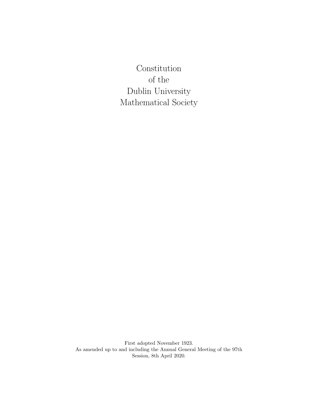**Constitution** of the Dublin University Mathematical Society

First adopted November 1923. As amended up to and including the Annual General Meeting of the 97th Session, 8th April 2020.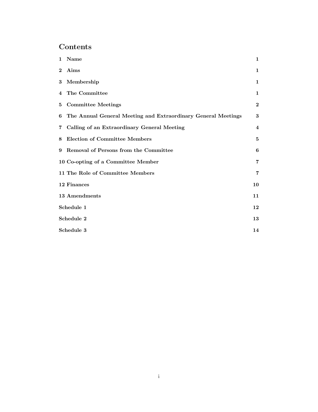# Contents

| $\mathbf{1}$ | Name                                                          | 1                       |
|--------------|---------------------------------------------------------------|-------------------------|
| $\bf{2}$     | Aims                                                          | 1                       |
| 3            | Membership                                                    | $\mathbf 1$             |
| 4            | The Committee                                                 | 1                       |
| 5            | <b>Committee Meetings</b>                                     | $\boldsymbol{2}$        |
| 6            | The Annual General Meeting and Extraordinary General Meetings | 3                       |
| 7            | Calling of an Extraordinary General Meeting                   | $\overline{\mathbf{4}}$ |
| 8            | Election of Committee Members                                 | 5                       |
| 9            | Removal of Persons from the Committee                         | 6                       |
|              | 10 Co-opting of a Committee Member                            | 7                       |
|              | 11 The Role of Committee Members                              | $\overline{7}$          |
|              | 12 Finances                                                   | 10                      |
|              | 13 Amendments                                                 | 11                      |
|              | Schedule 1                                                    | 12                      |
|              | Schedule 2                                                    | 13                      |
|              | Schedule 3                                                    | 14                      |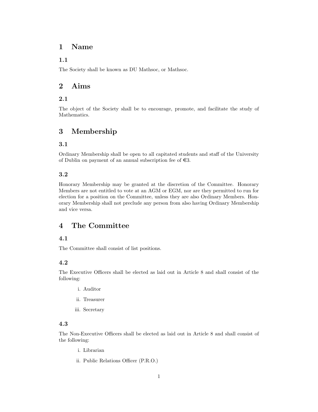## <span id="page-2-0"></span>1 Name

## 1.1

The Society shall be known as DU Mathsoc, or Mathsoc.

## <span id="page-2-1"></span>2 Aims

## 2.1

The object of the Society shall be to encourage, promote, and facilitate the study of Mathematics.

# <span id="page-2-2"></span>3 Membership

## 3.1

Ordinary Membership shall be open to all capitated students and staff of the University of Dublin on payment of an annual subscription fee of  $\epsilon$ 3.

## 3.2

Honorary Membership may be granted at the discretion of the Committee. Honorary Members are not entitled to vote at an AGM or EGM, nor are they permitted to run for election for a position on the Committee, unless they are also Ordinary Members. Honorary Membership shall not preclude any person from also having Ordinary Membership and vice versa.

## <span id="page-2-3"></span>4 The Committee

## 4.1

The Committee shall consist of list positions.

## 4.2

The Executive Officers shall be elected as laid out in Article 8 and shall consist of the following:

- i. Auditor
- ii. Treasurer
- iii. Secretary

## 4.3

The Non-Executive Officers shall be elected as laid out in Article 8 and shall consist of the following:

- i. Librarian
- ii. Public Relations Officer (P.R.O.)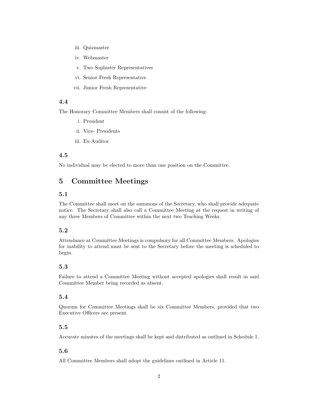- iii. Quizmaster
- iv. Webmaster
- v. Two Sophister Representatives
- vi. Senior Fresh Representative
- vii. Junior Fresh Representative

The Honorary Committee Members shall consist of the following:

- i. President
- ii. Vice- Presidents
- iii. Ex-Auditor

#### 4.5

No individual may be elected to more than one position on the Committee.

## <span id="page-3-0"></span>5 Committee Meetings

## 5.1

The Committee shall meet on the summons of the Secretary, who shall provide adequate notice. The Secretary shall also call a Committee Meeting at the request in writing of any three Members of Committee within the next two Teaching Weeks.

## 5.2

Attendance at Committee Meetings is compulsory for all Committee Members. Apologies for inability to attend must be sent to the Secretary before the meeting is scheduled to begin.

#### 5.3

Failure to attend a Committee Meeting without accepted apologies shall result in said Committee Member being recorded as absent.

#### 5.4

Quorum for Committee Meetings shall be six Committee Members, provided that two Executive Officers are present.

#### 5.5

Accurate minutes of the meetings shall be kept and distributed as outlined in Schedule 1.

#### 5.6

All Committee Members shall adopt the guidelines outlined in Article 11.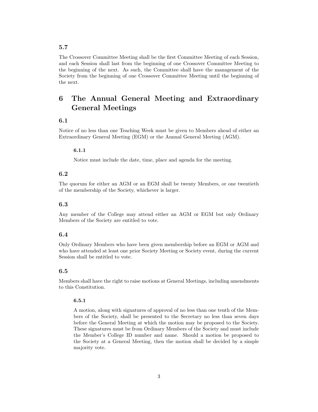The Crossover Committee Meeting shall be the first Committee Meeting of each Session, and each Session shall last from the beginning of one Crossover Committee Meeting to the beginning of the next. As such, the Committee shall have the management of the Society from the beginning of one Crossover Committee Meeting until the beginning of the next.

# <span id="page-4-0"></span>6 The Annual General Meeting and Extraordinary General Meetings

## 6.1

Notice of no less than one Teaching Week must be given to Members ahead of either an Extraordinary General Meeting (EGM) or the Annual General Meeting (AGM).

#### 6.1.1

Notice must include the date, time, place and agenda for the meeting.

### 6.2

The quorum for either an AGM or an EGM shall be twenty Members, or one twentieth of the membership of the Society, whichever is larger.

#### 6.3

Any member of the College may attend either an AGM or EGM but only Ordinary Members of the Society are entitled to vote.

#### 6.4

Only Ordinary Members who have been given membership before an EGM or AGM and who have attended at least one prior Society Meeting or Society event, during the current Session shall be entitled to vote.

#### 6.5

Members shall have the right to raise motions at General Meetings, including amendments to this Constitution.

#### 6.5.1

A motion, along with signatures of approval of no less than one tenth of the Members of the Society, shall be presented to the Secretary no less than seven days before the General Meeting at which the motion may be proposed to the Society. These signatures must be from Ordinary Members of the Society and must include the Member's College ID number and name. Should a motion be proposed to the Society at a General Meeting, then the motion shall be decided by a simple majority vote.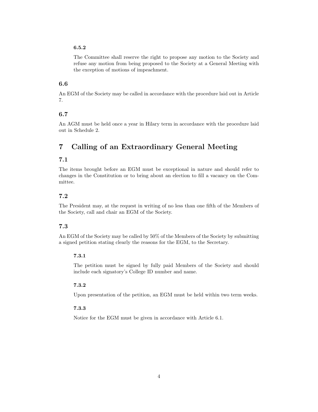### 6.5.2

The Committee shall reserve the right to propose any motion to the Society and refuse any motion from being proposed to the Society at a General Meeting with the exception of motions of impeachment.

## 6.6

An EGM of the Society may be called in accordance with the procedure laid out in Article 7.

## 6.7

An AGM must be held once a year in Hilary term in accordance with the procedure laid out in Schedule 2.

# <span id="page-5-0"></span>7 Calling of an Extraordinary General Meeting

## 7.1

The items brought before an EGM must be exceptional in nature and should refer to changes in the Constitution or to bring about an election to fill a vacancy on the Committee.

## 7.2

The President may, at the request in writing of no less than one fifth of the Members of the Society, call and chair an EGM of the Society.

## 7.3

An EGM of the Society may be called by 50% of the Members of the Society by submitting a signed petition stating clearly the reasons for the EGM, to the Secretary.

#### 7.3.1

The petition must be signed by fully paid Members of the Society and should include each signatory's College ID number and name.

#### 7.3.2

Upon presentation of the petition, an EGM must be held within two term weeks.

#### 7.3.3

Notice for the EGM must be given in accordance with Article 6.1.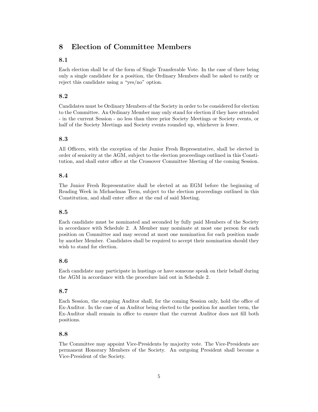## <span id="page-6-0"></span>8 Election of Committee Members

## 8.1

Each election shall be of the form of Single Transferable Vote. In the case of there being only a single candidate for a position, the Ordinary Members shall be asked to ratify or reject this candidate using a "yes/no" option.

### 8.2

Candidates must be Ordinary Members of the Society in order to be considered for election to the Committee. An Ordinary Member may only stand for election if they have attended - in the current Session - no less than three prior Society Meetings or Society events, or half of the Society Meetings and Society events rounded up, whichever is fewer.

#### 8.3

All Officers, with the exception of the Junior Fresh Representative, shall be elected in order of seniority at the AGM, subject to the election proceedings outlined in this Constitution, and shall enter office at the Crossover Committee Meeting of the coming Session.

### 8.4

The Junior Fresh Representative shall be elected at an EGM before the beginning of Reading Week in Michaelmas Term, subject to the election proceedings outlined in this Constitution, and shall enter office at the end of said Meeting.

### 8.5

Each candidate must be nominated and seconded by fully paid Members of the Society in accordance with Schedule 2. A Member may nominate at most one person for each position on Committee and may second at most one nomination for each position made by another Member. Candidates shall be required to accept their nomination should they wish to stand for election.

#### 8.6

Each candidate may participate in hustings or have someone speak on their behalf during the AGM in accordance with the procedure laid out in Schedule 2.

## 8.7

Each Session, the outgoing Auditor shall, for the coming Session only, hold the office of Ex-Auditor. In the case of an Auditor being elected to the position for another term, the Ex-Auditor shall remain in office to ensure that the current Auditor does not fill both positions.

#### 8.8

The Committee may appoint Vice-Presidents by majority vote. The Vice-Presidents are permanent Honorary Members of the Society. An outgoing President shall become a Vice-President of the Society.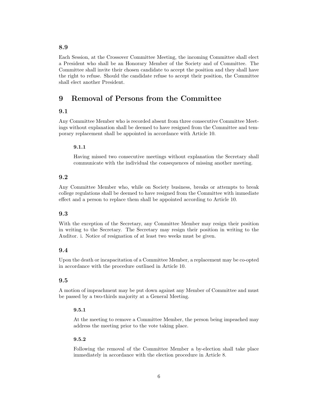Each Session, at the Crossover Committee Meeting, the incoming Committee shall elect a President who shall be an Honorary Member of the Society and of Committee. The Committee shall invite their chosen candidate to accept the position and they shall have the right to refuse. Should the candidate refuse to accept their position, the Committee shall elect another President.

## <span id="page-7-0"></span>9 Removal of Persons from the Committee

## 9.1

Any Committee Member who is recorded absent from three consecutive Committee Meetings without explanation shall be deemed to have resigned from the Committee and temporary replacement shall be appointed in accordance with Article 10.

#### 9.1.1

Having missed two consecutive meetings without explanation the Secretary shall communicate with the individual the consequences of missing another meeting.

### 9.2

Any Committee Member who, while on Society business, breaks or attempts to break college regulations shall be deemed to have resigned from the Committee with immediate effect and a person to replace them shall be appointed according to Article 10.

#### 9.3

With the exception of the Secretary, any Committee Member may resign their position in writing to the Secretary. The Secretary may resign their position in writing to the Auditor. i. Notice of resignation of at least two weeks must be given.

#### 9.4

Upon the death or incapacitation of a Committee Member, a replacement may be co-opted in accordance with the procedure outlined in Article 10.

## 9.5

A motion of impeachment may be put down against any Member of Committee and must be passed by a two-thirds majority at a General Meeting.

#### 9.5.1

At the meeting to remove a Committee Member, the person being impeached may address the meeting prior to the vote taking place.

#### 9.5.2

Following the removal of the Committee Member a by-election shall take place immediately in accordance with the election procedure in Article 8.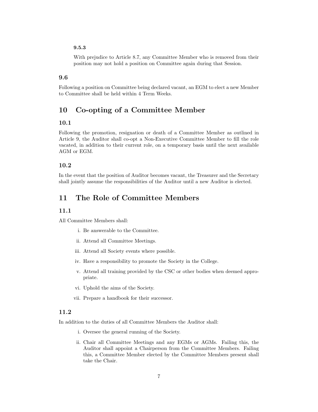### 9.5.3

With prejudice to Article 8.7, any Committee Member who is removed from their position may not hold a position on Committee again during that Session.

### 9.6

Following a position on Committee being declared vacant, an EGM to elect a new Member to Committee shall be held within 4 Term Weeks.

# <span id="page-8-0"></span>10 Co-opting of a Committee Member

## 10.1

Following the promotion, resignation or death of a Committee Member as outlined in Article 9, the Auditor shall co-opt a Non-Executive Committee Member to fill the role vacated, in addition to their current role, on a temporary basis until the next available AGM or EGM.

#### 10.2

In the event that the position of Auditor becomes vacant, the Treasurer and the Secretary shall jointly assume the responsibilities of the Auditor until a new Auditor is elected.

## <span id="page-8-1"></span>11 The Role of Committee Members

#### 11.1

All Committee Members shall:

- i. Be answerable to the Committee.
- ii. Attend all Committee Meetings.
- iii. Attend all Society events where possible.
- iv. Have a responsibility to promote the Society in the College.
- v. Attend all training provided by the CSC or other bodies when deemed appropriate.
- vi. Uphold the aims of the Society.
- vii. Prepare a handbook for their successor.

## 11.2

In addition to the duties of all Committee Members the Auditor shall:

- i. Oversee the general running of the Society.
- ii. Chair all Committee Meetings and any EGMs or AGMs. Failing this, the Auditor shall appoint a Chairperson from the Committee Members. Failing this, a Committee Member elected by the Committee Members present shall take the Chair.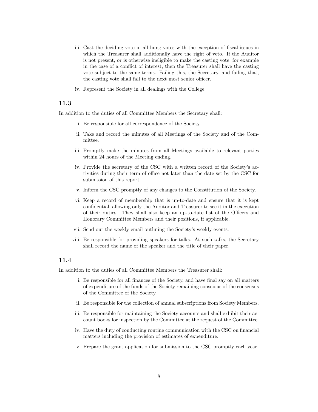- iii. Cast the deciding vote in all hung votes with the exception of fiscal issues in which the Treasurer shall additionally have the right of veto. If the Auditor is not present, or is otherwise ineligible to make the casting vote, for example in the case of a conflict of interest, then the Treasurer shall have the casting vote subject to the same terms. Failing this, the Secretary, and failing that, the casting vote shall fall to the next most senior officer.
- iv. Represent the Society in all dealings with the College.

In addition to the duties of all Committee Members the Secretary shall:

- i. Be responsible for all correspondence of the Society.
- ii. Take and record the minutes of all Meetings of the Society and of the Committee.
- iii. Promptly make the minutes from all Meetings available to relevant parties within 24 hours of the Meeting ending.
- iv. Provide the secretary of the CSC with a written record of the Society's activities during their term of office not later than the date set by the CSC for submission of this report.
- v. Inform the CSC promptly of any changes to the Constitution of the Society.
- vi. Keep a record of membership that is up-to-date and ensure that it is kept confidential, allowing only the Auditor and Treasurer to see it in the execution of their duties. They shall also keep an up-to-date list of the Officers and Honorary Committee Members and their positions, if applicable.
- vii. Send out the weekly email outlining the Society's weekly events.
- viii. Be responsible for providing speakers for talks. At such talks, the Secretary shall record the name of the speaker and the title of their paper.

### 11.4

In addition to the duties of all Committee Members the Treasurer shall:

- i. Be responsible for all finances of the Society, and have final say on all matters of expenditure of the funds of the Society remaining conscious of the consensus of the Committee of the Society.
- ii. Be responsible for the collection of annual subscriptions from Society Members.
- iii. Be responsible for maintaining the Society accounts and shall exhibit their account books for inspection by the Committee at the request of the Committee.
- iv. Have the duty of conducting routine communication with the CSC on financial matters including the provision of estimates of expenditure.
- v. Prepare the grant application for submission to the CSC promptly each year.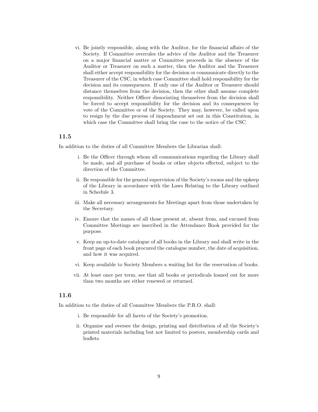vi. Be jointly responsible, along with the Auditor, for the financial affairs of the Society. If Committee overrules the advice of the Auditor and the Treasurer on a major financial matter or Committee proceeds in the absence of the Auditor or Treasurer on such a matter, then the Auditor and the Treasurer shall either accept responsibility for the decision or communicate directly to the Treasurer of the CSC, in which case Committee shall hold responsibility for the decision and its consequences. If only one of the Auditor or Treasurer should distance themselves from the decision, then the other shall assume complete responsibility. Neither Officer dissociating themselves from the decision shall be forced to accept responsibility for the decision and its consequences by vote of the Committee or of the Society. They may, however, be called upon to resign by the due process of impeachment set out in this Constitution, in which case the Committee shall bring the case to the notice of the CSC.

#### 11.5

In addition to the duties of all Committee Members the Librarian shall:

- i. Be the Officer through whom all communications regarding the Library shall be made, and all purchase of books or other objects effected, subject to the direction of the Committee.
- ii. Be responsible for the general supervision of the Society's rooms and the upkeep of the Library in accordance with the Laws Relating to the Library outlined in Schedule 3.
- iii. Make all necessary arrangements for Meetings apart from those undertaken by the Secretary.
- iv. Ensure that the names of all those present at, absent from, and excused from Committee Meetings are inscribed in the Attendance Book provided for the purpose.
- v. Keep an up-to-date catalogue of all books in the Library and shall write in the front page of each book procured the catalogue number, the date of acquisition, and how it was acquired.
- vi. Keep available to Society Members a waiting list for the reservation of books.
- vii. At least once per term, see that all books or periodicals loaned out for more than two months are either renewed or returned.

#### 11.6

In addition to the duties of all Committee Members the P.R.O. shall:

- i. Be responsible for all facets of the Society's promotion.
- ii. Organise and oversee the design, printing and distribution of all the Society's printed materials including but not limited to posters, membership cards and leaflets.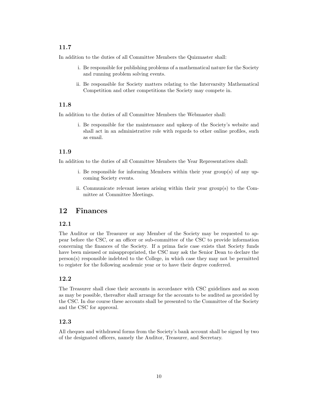In addition to the duties of all Committee Members the Quizmaster shall:

- i. Be responsible for publishing problems of a mathematical nature for the Society and running problem solving events.
- ii. Be responsible for Society matters relating to the Intervarsity Mathematical Competition and other competitions the Society may compete in.

## 11.8

In addition to the duties of all Committee Members the Webmaster shall:

i. Be responsible for the maintenance and upkeep of the Society's website and shall act in an administrative role with regards to other online profiles, such as email.

## 11.9

In addition to the duties of all Committee Members the Year Representatives shall:

- i. Be responsible for informing Members within their year group(s) of any upcoming Society events.
- ii. Communicate relevant issues arising within their year group(s) to the Committee at Committee Meetings.

## <span id="page-11-0"></span>12 Finances

### 12.1

The Auditor or the Treasurer or any Member of the Society may be requested to appear before the CSC, or an officer or sub-committee of the CSC to provide information concerning the finances of the Society. If a prima facie case exists that Society funds have been misused or misappropriated, the CSC may ask the Senior Dean to declare the person(s) responsible indebted to the College, in which case they may not be permitted to register for the following academic year or to have their degree conferred.

#### 12.2

The Treasurer shall close their accounts in accordance with CSC guidelines and as soon as may be possible, thereafter shall arrange for the accounts to be audited as provided by the CSC. In due course these accounts shall be presented to the Committee of the Society and the CSC for approval.

### 12.3

All cheques and withdrawal forms from the Society's bank account shall be signed by two of the designated officers, namely the Auditor, Treasurer, and Secretary.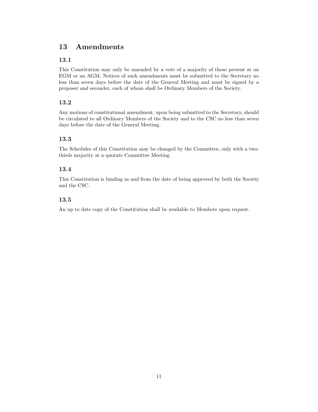# <span id="page-12-0"></span>13 Amendments

## 13.1

This Constitution may only be amended by a vote of a majority of those present at an EGM or an AGM. Notices of such amendments must be submitted to the Secretary no less than seven days before the date of the General Meeting and must be signed by a proposer and seconder, each of whom shall be Ordinary Members of the Society.

## 13.2

Any motions of constitutional amendment, upon being submitted to the Secretary, should be circulated to all Ordinary Members of the Society and to the CSC no less than seven days before the date of the General Meeting.

## 13.3

The Schedules of this Constitution may be changed by the Committee, only with a twothirds majority at a quorate Committee Meeting.

## 13.4

This Constitution is binding as and from the date of being approved by both the Society and the CSC.

## 13.5

An up to date copy of the Constitution shall be available to Members upon request.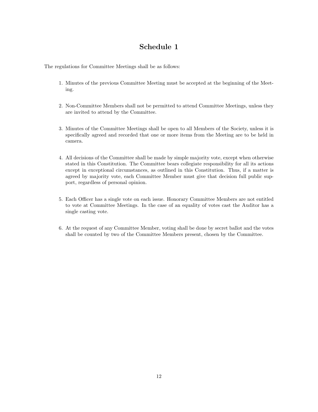# <span id="page-13-0"></span>Schedule 1

The regulations for Committee Meetings shall be as follows:

- 1. Minutes of the previous Committee Meeting must be accepted at the beginning of the Meeting.
- 2. Non-Committee Members shall not be permitted to attend Committee Meetings, unless they are invited to attend by the Committee.
- 3. Minutes of the Committee Meetings shall be open to all Members of the Society, unless it is specifically agreed and recorded that one or more items from the Meeting are to be held in camera.
- 4. All decisions of the Committee shall be made by simple majority vote, except when otherwise stated in this Constitution. The Committee bears collegiate responsibility for all its actions except in exceptional circumstances, as outlined in this Constitution. Thus, if a matter is agreed by majority vote, each Committee Member must give that decision full public support, regardless of personal opinion.
- 5. Each Officer has a single vote on each issue. Honorary Committee Members are not entitled to vote at Committee Meetings. In the case of an equality of votes cast the Auditor has a single casting vote.
- 6. At the request of any Committee Member, voting shall be done by secret ballot and the votes shall be counted by two of the Committee Members present, chosen by the Committee.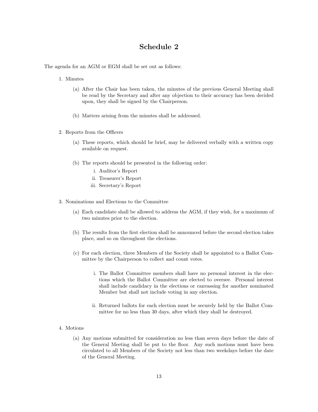## <span id="page-14-0"></span>Schedule 2

The agenda for an AGM or EGM shall be set out as follows:

- 1. Minutes
	- (a) After the Chair has been taken, the minutes of the previous General Meeting shall be read by the Secretary and after any objection to their accuracy has been decided upon, they shall be signed by the Chairperson.
	- (b) Matters arising from the minutes shall be addressed.
- 2. Reports from the Officers
	- (a) These reports, which should be brief, may be delivered verbally with a written copy available on request.
	- (b) The reports should be presented in the following order:
		- i. Auditor's Report
		- ii. Treasurer's Report
		- iii. Secretary's Report
- 3. Nominations and Elections to the Committee
	- (a) Each candidate shall be allowed to address the AGM, if they wish, for a maximum of two minutes prior to the election.
	- (b) The results from the first election shall be announced before the second election takes place, and so on throughout the elections.
	- (c) For each election, three Members of the Society shall be appointed to a Ballot Committee by the Chairperson to collect and count votes.
		- i. The Ballot Committee members shall have no personal interest in the elections which the Ballot Committee are elected to oversee. Personal interest shall include candidacy in the elections or canvassing for another nominated Member but shall not include voting in any election.
		- ii. Returned ballots for each election must be securely held by the Ballot Committee for no less than 30 days, after which they shall be destroyed.
- 4. Motions
	- (a) Any motions submitted for consideration no less than seven days before the date of the General Meeting shall be put to the floor. Any such motions must have been circulated to all Members of the Society not less than two weekdays before the date of the General Meeting.